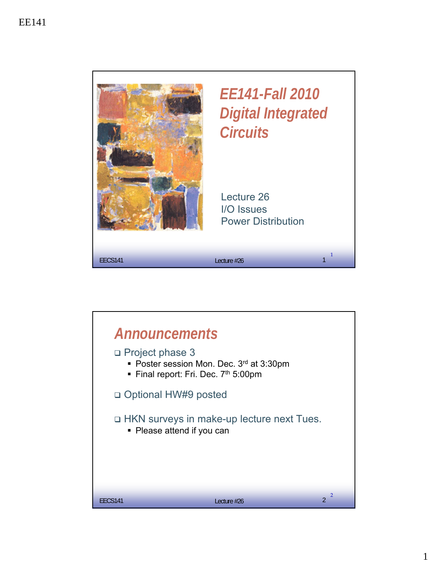

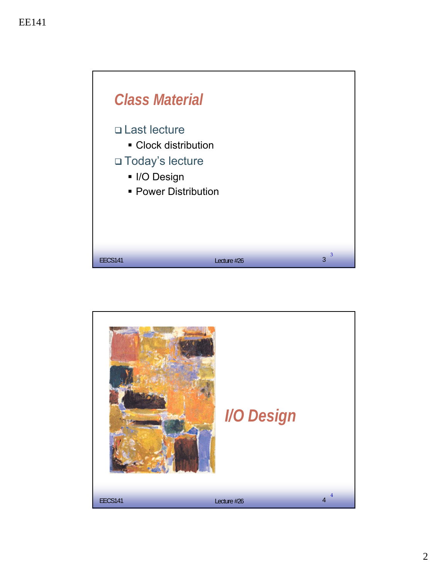

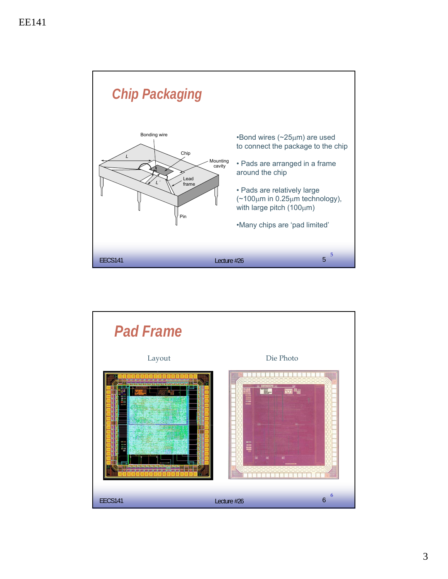

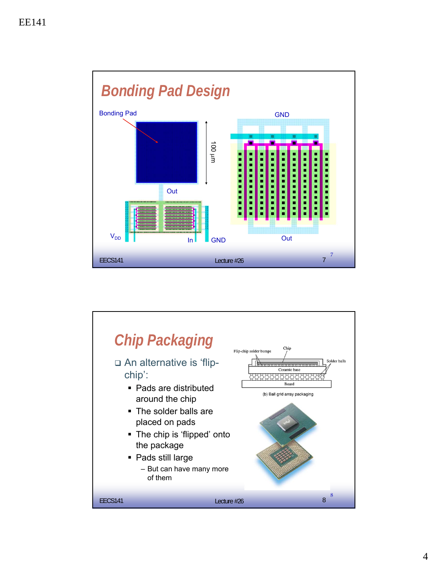

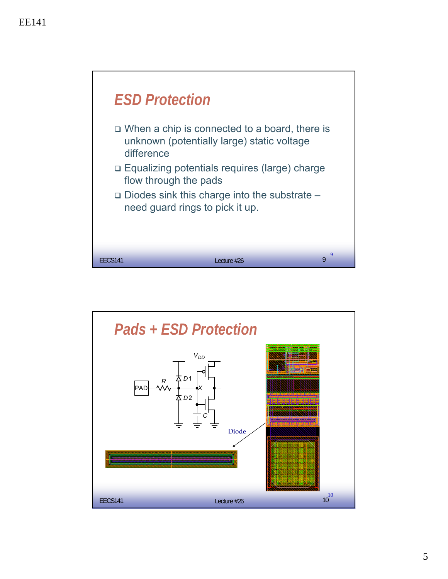

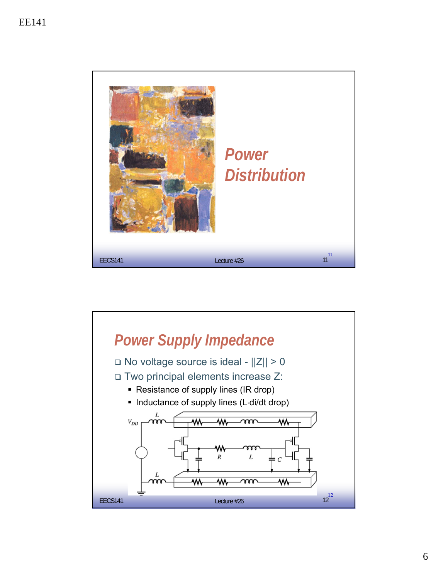

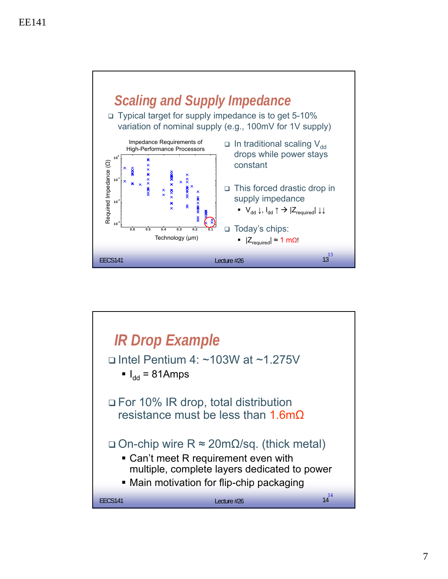

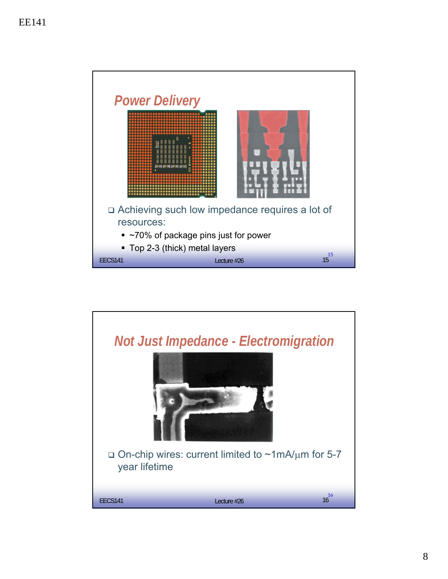

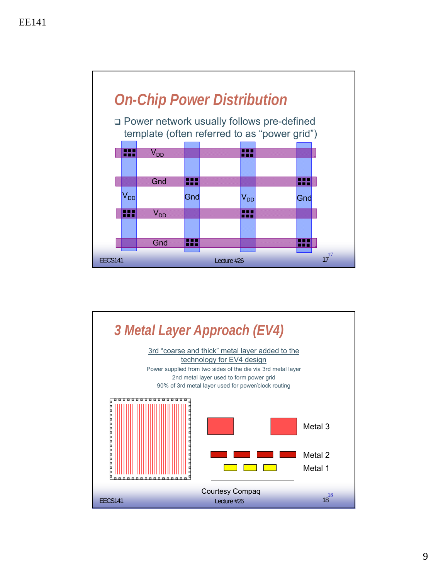

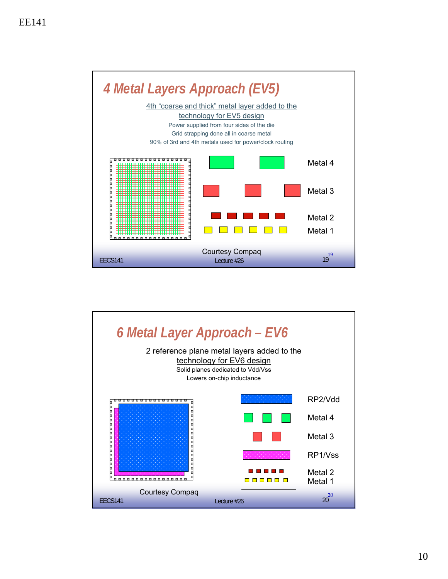